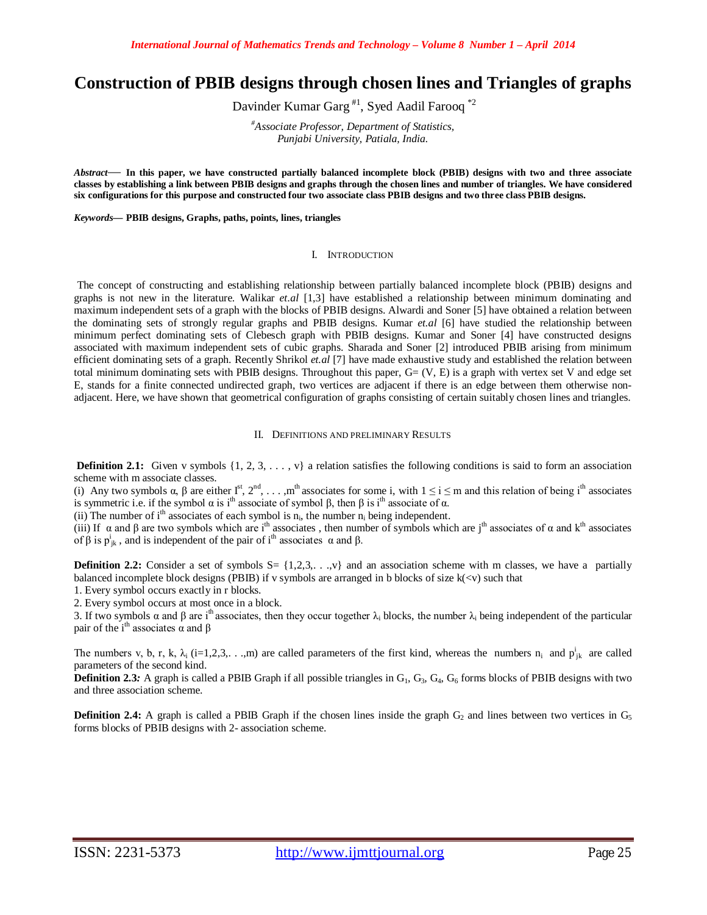# **Construction of PBIB designs through chosen lines and Triangles of graphs**

Davinder Kumar Garg<sup>#1</sup>, Syed Aadil Farooq<sup>\*2</sup>

*#Associate Professor, Department of Statistics, Punjabi University, Patiala, India.*

*Abstract*— **In this paper, we have constructed partially balanced incomplete block (PBIB) designs with two and three associate classes by establishing a link between PBIB designs and graphs through the chosen lines and number of triangles. We have considered six configurations for this purpose and constructed four two associate class PBIB designs and two three class PBIB designs.**

*Keywords***— PBIB designs, Graphs, paths, points, lines, triangles**

### I. INTRODUCTION

The concept of constructing and establishing relationship between partially balanced incomplete block (PBIB) designs and graphs is not new in the literature. Walikar *et.al* [1,3] have established a relationship between minimum dominating and maximum independent sets of a graph with the blocks of PBIB designs. Alwardi and Soner [5] have obtained a relation between the dominating sets of strongly regular graphs and PBIB designs. Kumar *et.al* [6] have studied the relationship between minimum perfect dominating sets of Clebesch graph with PBIB designs. Kumar and Soner [4] have constructed designs associated with maximum independent sets of cubic graphs. Sharada and Soner [2] introduced PBIB arising from minimum efficient dominating sets of a graph. Recently Shrikol *et.al* [7] have made exhaustive study and established the relation between total minimum dominating sets with PBIB designs. Throughout this paper,  $G = (V, E)$  is a graph with vertex set V and edge set E, stands for a finite connected undirected graph, two vertices are adjacent if there is an edge between them otherwise nonadjacent. Here, we have shown that geometrical configuration of graphs consisting of certain suitably chosen lines and triangles.

### II. DEFINITIONS AND PRELIMINARY RESULTS

**Definition 2.1:** Given v symbols  $\{1, 2, 3, \ldots, v\}$  a relation satisfies the following conditions is said to form an association scheme with m associate classes.

(i) Any two symbols  $\alpha$ ,  $\beta$  are either  $I^st$ ,  $2^{nd}$ , . . . ,m<sup>th</sup> associates for some i, with  $1 \le i \le m$  and this relation of being i<sup>th</sup> associates is symmetric i.e. if the symbol  $\alpha$  is i<sup>th</sup> associate of symbol  $\beta$ , then  $\beta$  is i<sup>th</sup> associate of α.

(ii) The number of  $i<sup>th</sup>$  associates of each symbol is  $n<sub>i</sub>$ , the number  $n<sub>i</sub>$  being independent.

(iii) If  $\alpha$  and  $\beta$  are two symbols which are i<sup>th</sup> associates, then number of symbols which are j<sup>th</sup> associates of  $\alpha$  and k<sup>th</sup> associates of  $\beta$  is  $p_{jk}^i$ , and is independent of the pair of i<sup>th</sup> associates  $\alpha$  and  $\beta$ .

**Definition 2.2:** Consider a set of symbols  $S = \{1,2,3,...,v\}$  and an association scheme with m classes, we have a partially balanced incomplete block designs (PBIB) if v symbols are arranged in b blocks of size  $k(\langle v \rangle)$  such that

1. Every symbol occurs exactly in r blocks.

2. Every symbol occurs at most once in a block.

3. If two symbols  $\alpha$  and  $\beta$  are i<sup>th</sup> associates, then they occur together  $\lambda_i$  blocks, the number  $\lambda_i$  being independent of the particular pair of the i<sup>th</sup> associates  $\alpha$  and  $\beta$ 

The numbers v, b, r, k,  $\lambda_i$  (i=1,2,3,...,m) are called parameters of the first kind, whereas the numbers  $n_i$  and  $p_{jk}^i$  are called parameters of the second kind.

**Definition 2.3***:* A graph is called a PBIB Graph if all possible triangles in  $G_1$ ,  $G_3$ ,  $G_4$ ,  $G_6$  forms blocks of PBIB designs with two and three association scheme.

**Definition 2.4:** A graph is called a PBIB Graph if the chosen lines inside the graph G<sub>2</sub> and lines between two vertices in G<sub>5</sub> forms blocks of PBIB designs with 2- association scheme.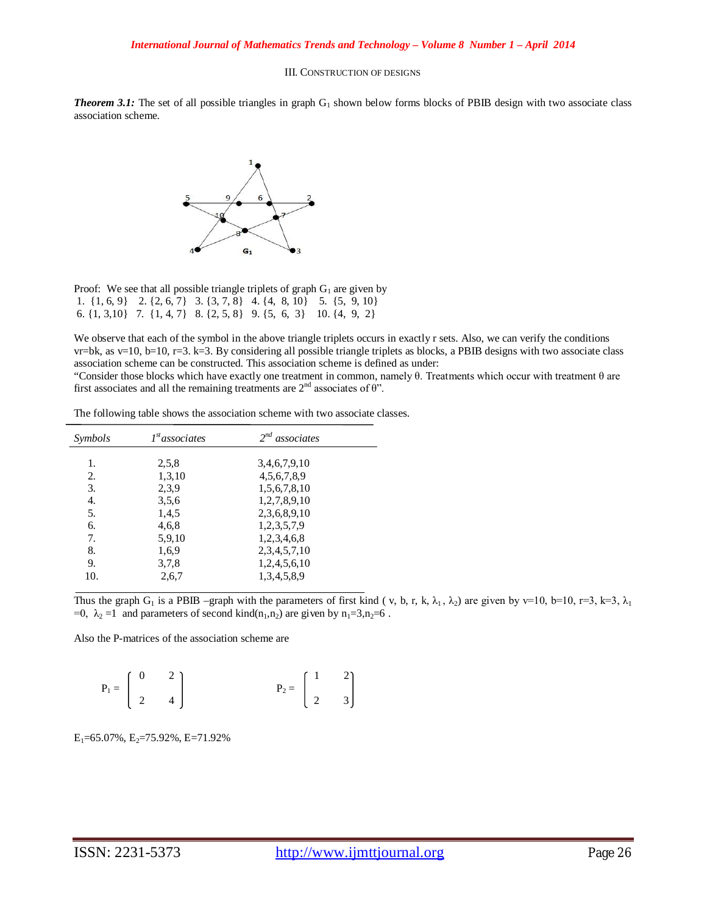### III. CONSTRUCTION OF DESIGNS

*Theorem 3.1:* The set of all possible triangles in graph  $G_1$  shown below forms blocks of PBIB design with two associate class association scheme.



|  |  | Proof: We see that all possible triangle triplets of graph $G_1$ are given by          |
|--|--|----------------------------------------------------------------------------------------|
|  |  | 1. $\{1, 6, 9\}$ 2. $\{2, 6, 7\}$ 3. $\{3, 7, 8\}$ 4. $\{4, 8, 10\}$ 5. $\{5, 9, 10\}$ |
|  |  | 6. $\{1, 3, 10\}$ 7. $\{1, 4, 7\}$ 8. $\{2, 5, 8\}$ 9. $\{5, 6, 3\}$ 10. $\{4, 9, 2\}$ |

We observe that each of the symbol in the above triangle triplets occurs in exactly r sets. Also, we can verify the conditions  $v = b$ k, as v=10, b=10, r=3. k=3. By considering all possible triangle triplets as blocks, a PBIB designs with two associate class association scheme can be constructed. This association scheme is defined as under:

"Consider those blocks which have exactly one treatment in common, namely  $\theta$ . Treatments which occur with treatment  $\theta$  are first associates and all the remaining treatments are  $2<sup>nd</sup>$  associates of  $\theta$ ".

| Symbols | $Ist$ associates | $2^{nd}$ associates |  |
|---------|------------------|---------------------|--|
| 1.      | 2,5,8            | 3,4,6,7,9,10        |  |
| 2.      | 1,3,10           | 4,5,6,7,8,9         |  |
| 3.      | 2,3,9            | 1,5,6,7,8,10        |  |
| 4.      | 3,5,6            | 1,2,7,8,9,10        |  |
| 5.      | 1,4,5            | 2,3,6,8,9,10        |  |
| 6.      | 4,6,8            | 1,2,3,5,7,9         |  |
| 7.      | 5,9,10           | 1,2,3,4,6,8         |  |
| 8.      | 1,6,9            | 2, 3, 4, 5, 7, 10   |  |
| 9.      | 3.7,8            | 1,2,4,5,6,10        |  |
| 10.     | 2,6,7            | 1,3,4,5,8,9         |  |

The following table shows the association scheme with two associate classes.

Thus the graph G<sub>1</sub> is a PBIB –graph with the parameters of first kind ( v, b, r, k,  $\lambda_1$ ,  $\lambda_2$ ) are given by v=10, b=10, r=3, k=3,  $\lambda_1$ =0,  $\lambda_2$  =1 and parameters of second kind(n<sub>1</sub>,n<sub>2</sub>) are given by n<sub>1</sub>=3,n<sub>2</sub>=6.

Also the P-matrices of the association scheme are

| $\boldsymbol{0}$ | $\overline{2}$                                       |                                                      |  |
|------------------|------------------------------------------------------|------------------------------------------------------|--|
|                  | $P_1 = \begin{bmatrix} 0 & 2 \\ 2 & 4 \end{bmatrix}$ |                                                      |  |
|                  | $ +$ $-$                                             | $P_2 = \begin{bmatrix} 1 & 2 \\ 2 & 3 \end{bmatrix}$ |  |

 $E_1$ =65.07%,  $E_2$ =75.92%, E=71.92%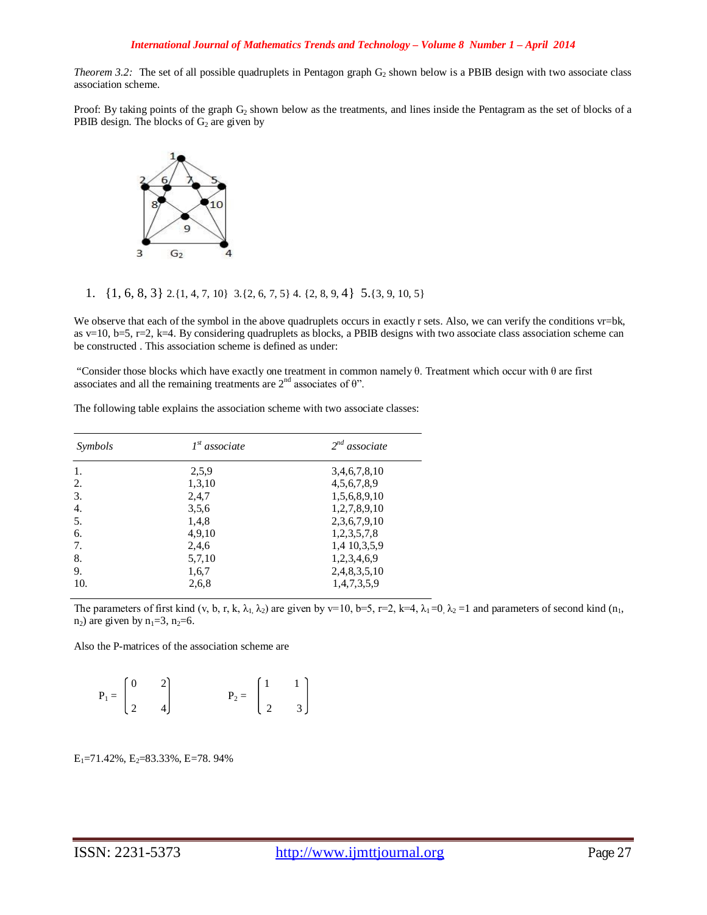*Theorem 3.2:* The set of all possible quadruplets in Pentagon graph  $G_2$  shown below is a PBIB design with two associate class association scheme.

Proof: By taking points of the graph  $G_2$  shown below as the treatments, and lines inside the Pentagram as the set of blocks of a PBIB design. The blocks of  $G_2$  are given by



## 1. {1, 6, 8, 3} 2.{1, 4, 7, 10} 3.{2, 6, 7, 5} 4. {2, 8, 9, 4} 5.{3, 9, 10, 5}

We observe that each of the symbol in the above quadruplets occurs in exactly r sets. Also, we can verify the conditions vr=bk, as v=10, b=5, r=2, k=4. By considering quadruplets as blocks, a PBIB designs with two associate class association scheme can be constructed . This association scheme is defined as under:

"Consider those blocks which have exactly one treatment in common namely  $\theta$ . Treatment which occur with  $\theta$  are first associates and all the remaining treatments are  $2<sup>nd</sup>$  associates of  $\theta$ ".

| Symbols | $Ist$ associate | $2^{nd}$ associate |  |  |
|---------|-----------------|--------------------|--|--|
| 1.      | 2,5,9           | 3,4,6,7,8,10       |  |  |
| 2.      | 1,3,10          | 4, 5, 6, 7, 8, 9   |  |  |
| 3.      | 2,4,7           | 1,5,6,8,9,10       |  |  |
| 4.      | 3,5,6           | 1,2,7,8,9,10       |  |  |
| 5.      | 1,4,8           | 2,3,6,7,9,10       |  |  |
| 6.      | 4,9,10          | 1,2,3,5,7,8        |  |  |
| 7.      | 2,4,6           | 1,4 10,3,5,9       |  |  |
| 8.      | 5,7,10          | 1,2,3,4,6,9        |  |  |
| 9.      | 1,6,7           | 2,4,8,3,5,10       |  |  |
| 10.     | 2,6,8           | 1,4,7,3,5,9        |  |  |

The following table explains the association scheme with two associate classes:

The parameters of first kind (v, b, r, k,  $\lambda_1$ ,  $\lambda_2$ ) are given by v=10, b=5, r=2, k=4,  $\lambda_1$  =0,  $\lambda_2$  =1 and parameters of second kind (n<sub>1</sub>,  $n_2$ ) are given by  $n_1=3$ ,  $n_2=6$ .

Also the P-matrices of the association scheme are

| $P_1 = \begin{bmatrix} 0 & 2 \\ 2 & 4 \end{bmatrix}$ | $\left( \frac{2}{2} \right)$ | $P_2 = \begin{bmatrix} 1 & 1 \\ 2 & 3 \end{bmatrix}$ |  |
|------------------------------------------------------|------------------------------|------------------------------------------------------|--|
|                                                      |                              |                                                      |  |
|                                                      |                              |                                                      |  |

 $E_1$ =71.42%,  $E_2$ =83.33%, E=78. 94%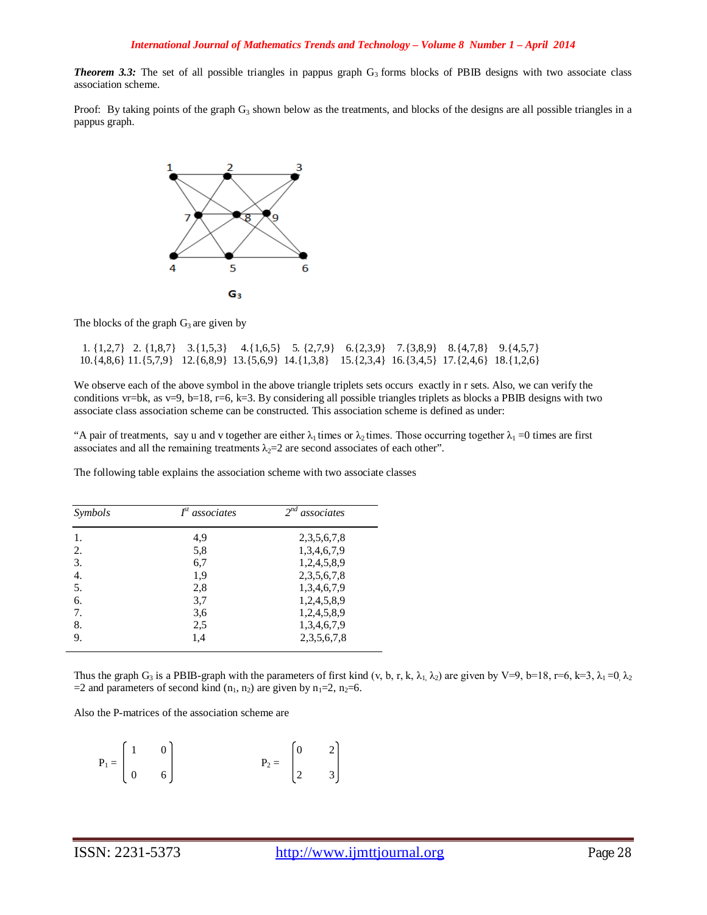**Theorem 3.3:** The set of all possible triangles in pappus graph  $G_3$  forms blocks of PBIB designs with two associate class association scheme.

Proof: By taking points of the graph  $G_3$  shown below as the treatments, and blocks of the designs are all possible triangles in a pappus graph.



The blocks of the graph  $G_3$  are given by

 1. {1,2,7} 2. {1,8,7} 3.{1,5,3} 4.{1,6,5} 5. {2,7,9} 6.{2,3,9} 7.{3,8,9} 8.{4,7,8} 9.{4,5,7} 10.{4,8,6} 11.{5,7,9} 12.{6,8,9} 13.{5,6,9} 14.{1,3,8} 15.{2,3,4} 16.{3,4,5} 17.{2,4,6} 18.{1,2,6}

We observe each of the above symbol in the above triangle triplets sets occurs exactly in r sets. Also, we can verify the conditions vr=bk, as v=9, b=18, r=6, k=3. By considering all possible triangles triplets as blocks a PBIB designs with two associate class association scheme can be constructed. This association scheme is defined as under:

"A pair of treatments, say u and v together are either  $\lambda_1$  times or  $\lambda_2$  times. Those occurring together  $\lambda_1 = 0$  times are first associates and all the remaining treatments  $\lambda_2=2$  are second associates of each other".

The following table explains the association scheme with two associate classes

| Symbols | $Ist$ associates | $2^{nd}$ associates |
|---------|------------------|---------------------|
| 1.      | 4,9              | 2, 3, 5, 6, 7, 8    |
| 2.      | 5,8              | 1,3,4,6,7,9         |
| 3.      | 6,7              | 1,2,4,5,8,9         |
| 4.      | 1,9              | 2,3,5,6,7,8         |
| 5.      | 2,8              | 1,3,4,6,7,9         |
| 6.      | 3,7              | 1,2,4,5,8,9         |
| 7.      | 3,6              | 1,2,4,5,8,9         |
| 8.      | 2,5              | 1,3,4,6,7,9         |
| 9.      | 1,4              | 2, 3, 5, 6, 7, 8    |

Thus the graph G<sub>3</sub> is a PBIB-graph with the parameters of first kind (v, b, r, k,  $\lambda_1$ ,  $\lambda_2$ ) are given by V=9, b=18, r=6, k=3,  $\lambda_1$  =0,  $\lambda_2$ =2 and parameters of second kind  $(n_1, n_2)$  are given by  $n_1=2$ ,  $n_2=6$ .

Also the P-matrices of the association scheme are

|  | $\boldsymbol{0}$                                     |                                                      |  |
|--|------------------------------------------------------|------------------------------------------------------|--|
|  | $P_1 = \begin{bmatrix} 1 & 0 \\ 0 & 6 \end{bmatrix}$ | $P_2 = \begin{bmatrix} 0 & 2 \\ 2 & 3 \end{bmatrix}$ |  |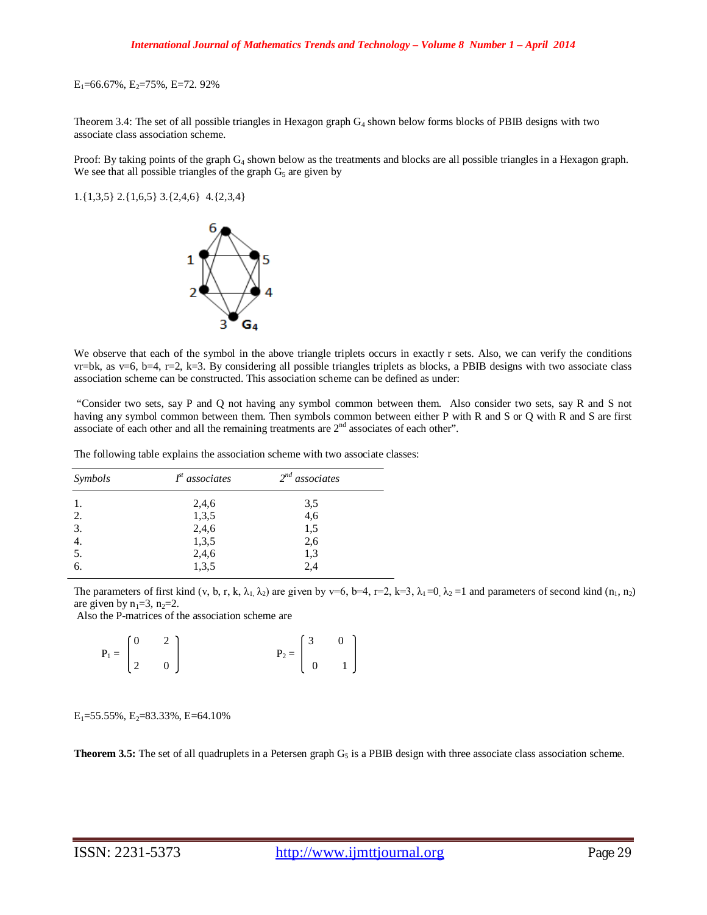$E_1$ =66.67%,  $E_2$ =75%, E=72. 92%

Theorem 3.4: The set of all possible triangles in Hexagon graph  $G_4$  shown below forms blocks of PBIB designs with two associate class association scheme.

Proof: By taking points of the graph G<sub>4</sub> shown below as the treatments and blocks are all possible triangles in a Hexagon graph. We see that all possible triangles of the graph  $G<sub>5</sub>$  are given by

1.{1,3,5} 2.{1,6,5} 3.{2,4,6} 4.{2,3,4}



We observe that each of the symbol in the above triangle triplets occurs in exactly r sets. Also, we can verify the conditions  $v = b$ k, as v=6, b=4, r=2, k=3. By considering all possible triangles triplets as blocks, a PBIB designs with two associate class association scheme can be constructed. This association scheme can be defined as under:

"Consider two sets, say P and Q not having any symbol common between them. Also consider two sets, say R and S not having any symbol common between them. Then symbols common between either P with R and S or Q with R and S are first associate of each other and all the remaining treatments are  $2<sup>nd</sup>$  associates of each other".

The following table explains the association scheme with two associate classes:

| Symbols          | $Ist$ associates | $2^{nd}$ associates |
|------------------|------------------|---------------------|
|                  | 2,4,6            | 3,5                 |
| 2.               | 1,3,5            | 4,6                 |
| 3.               | 2,4,6            | 1,5                 |
| 4.               | 1,3,5            | 2,6                 |
| $\overline{5}$ . | 2,4,6            | 1,3                 |
| 6.               | 1,3,5            | 2,4                 |

The parameters of first kind (v, b, r, k,  $\lambda_1$ ,  $\lambda_2$ ) are given by v=6, b=4, r=2, k=3,  $\lambda_1$  =0,  $\lambda_2$  =1 and parameters of second kind (n<sub>1</sub>, n<sub>2</sub>) are given by  $n_1=3$ ,  $n_2=2$ .

Also the P-matrices of the association scheme are

| $\mathbf{P}_1 = \begin{bmatrix} 0 && 2 \\ \\ 2 && 0 \end{bmatrix}$ |  |  | $\mathbf{P}_2 = \left[ \begin{array}{cc} 3 && 0 \\ & & \\ 0 && 1 \end{array} \right]$ |
|--------------------------------------------------------------------|--|--|---------------------------------------------------------------------------------------|
|                                                                    |  |  |                                                                                       |
|                                                                    |  |  |                                                                                       |

 $E_1$ =55.55%,  $E_2$ =83.33%, E=64.10%

**Theorem 3.5:** The set of all quadruplets in a Petersen graph  $G<sub>5</sub>$  is a PBIB design with three associate class association scheme.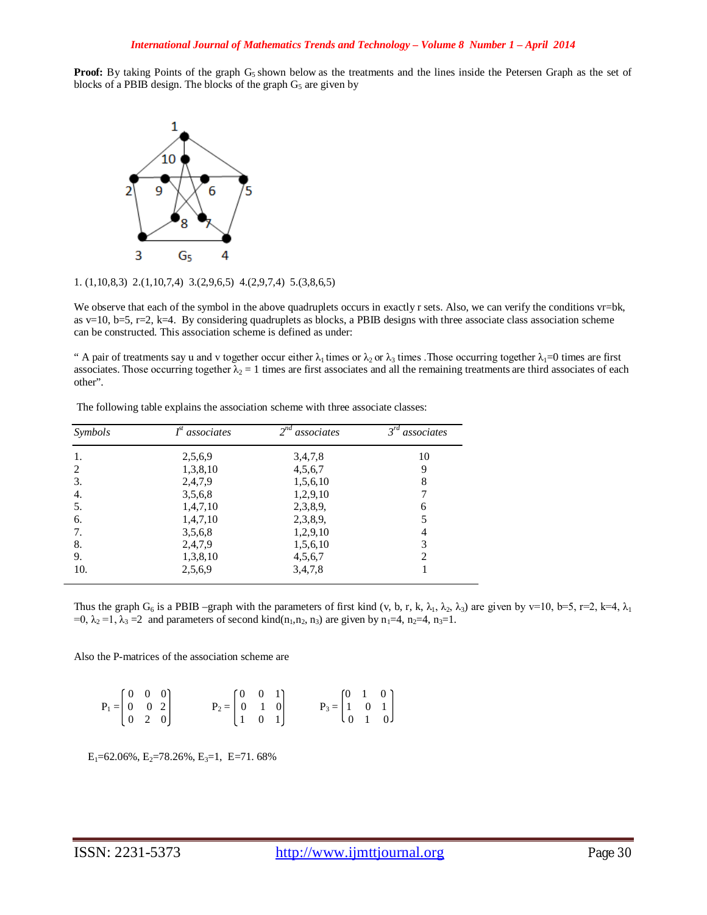**Proof:** By taking Points of the graph  $G_5$  shown below as the treatments and the lines inside the Petersen Graph as the set of blocks of a PBIB design. The blocks of the graph  $G<sub>5</sub>$  are given by



1. (1,10,8,3) 2.(1,10,7,4) 3.(2,9,6,5) 4.(2,9,7,4) 5.(3,8,6,5)

We observe that each of the symbol in the above quadruplets occurs in exactly r sets. Also, we can verify the conditions vr=bk, as v=10, b=5, r=2, k=4. By considering quadruplets as blocks, a PBIB designs with three associate class association scheme can be constructed. This association scheme is defined as under:

" A pair of treatments say u and v together occur either  $\lambda_1$  times or  $\lambda_2$  or  $\lambda_3$  times . Those occurring together  $\lambda_1=0$  times are first associates. Those occurring together  $\lambda_2 = 1$  times are first associates and all the remaining treatments are third associates of each other".

| Symbols | $Ist$ associates | $2^{nd}$ associates | $3^{rd}$<br>associates |
|---------|------------------|---------------------|------------------------|
| 1.      | 2,5,6,9          | 3,4,7,8             | 10                     |
| 2       | 1,3,8,10         | 4,5,6,7             | 9                      |
| 3.      | 2,4,7,9          | 1,5,6,10            | 8                      |
| 4.      | 3,5,6,8          | 1,2,9,10            |                        |
| 5.      | 1,4,7,10         | 2,3,8,9,            | 6                      |
| 6.      | 1,4,7,10         | 2,3,8,9,            |                        |
| 7.      | 3,5,6,8          | 1,2,9,10            | 4                      |
| 8.      | 2,4,7,9          | 1,5,6,10            | 3                      |
| 9.      | 1,3,8,10         | 4,5,6,7             | 2                      |
| 10.     | 2,5,6,9          | 3,4,7,8             |                        |

The following table explains the association scheme with three associate classes:

Thus the graph G<sub>6</sub> is a PBIB –graph with the parameters of first kind (v, b, r, k,  $\lambda_1$ ,  $\lambda_2$ ,  $\lambda_3$ ) are given by v=10, b=5, r=2, k=4,  $\lambda_1$ =0,  $\lambda_2 = 1$ ,  $\lambda_3 = 2$  and parameters of second kind(n<sub>1</sub>, n<sub>2</sub>, n<sub>3</sub>) are given by n<sub>1</sub>=4, n<sub>2</sub>=4, n<sub>3</sub>=1.

Also the P-matrices of the association scheme are

|                                                                           |  |                                                                           |  | $P_3 = \begin{bmatrix} 0 & 1 & 0 \\ 1 & 0 & 1 \\ 0 & 1 & 0 \end{bmatrix}$ |  |  |
|---------------------------------------------------------------------------|--|---------------------------------------------------------------------------|--|---------------------------------------------------------------------------|--|--|
|                                                                           |  |                                                                           |  |                                                                           |  |  |
| $P_1 = \begin{bmatrix} 0 & 0 & 0 \\ 0 & 0 & 2 \\ 0 & 2 & 0 \end{bmatrix}$ |  | $P_2 = \begin{bmatrix} 0 & 0 & 1 \\ 0 & 1 & 0 \\ 1 & 0 & 1 \end{bmatrix}$ |  |                                                                           |  |  |

 $E_1$ =62.06%,  $E_2$ =78.26%,  $E_3$ =1,  $E$ =71.68%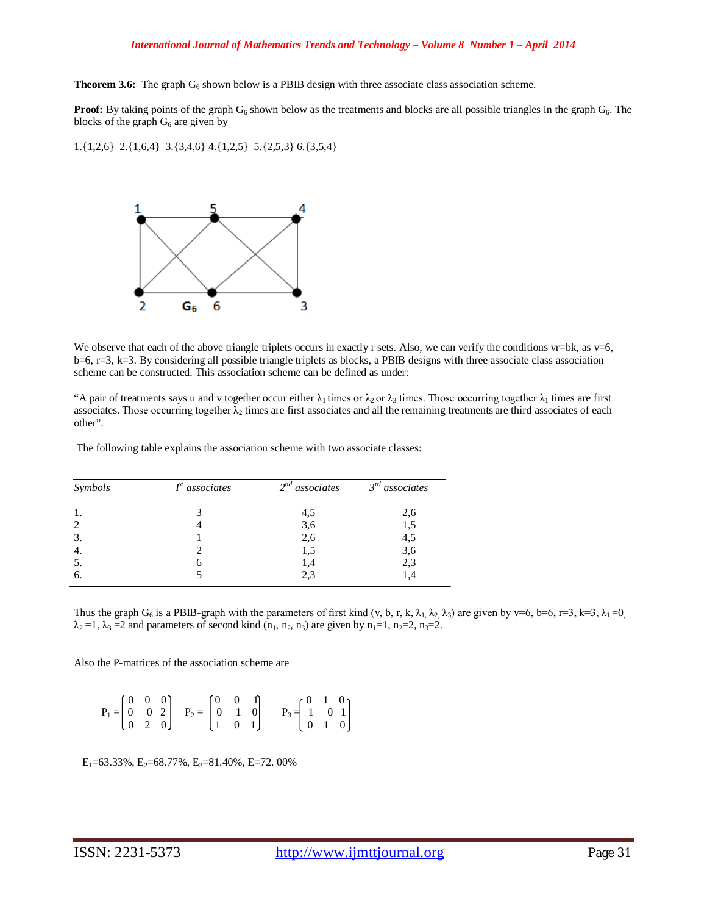### *International Journal of Mathematics Trends and Technology – Volume 8 Number 1 – April 2014*

**Theorem 3.6:** The graph  $G_6$  shown below is a PBIB design with three associate class association scheme.

**Proof:** By taking points of the graph  $G_6$  shown below as the treatments and blocks are all possible triangles in the graph  $G_6$ . The blocks of the graph  $G_6$  are given by

1.{1,2,6} 2.{1,6,4} 3.{3,4,6} 4.{1,2,5} 5.{2,5,3} 6.{3,5,4}



We observe that each of the above triangle triplets occurs in exactly r sets. Also, we can verify the conditions  $vr=bk$ , as  $v=6$ ,  $b=6$ ,  $r=3$ ,  $k=3$ . By considering all possible triangle triplets as blocks, a PBIB designs with three associate class association scheme can be constructed. This association scheme can be defined as under:

"A pair of treatments says u and v together occur either  $\lambda_1$  times or  $\lambda_2$  or  $\lambda_3$  times. Those occurring together  $\lambda_1$  times are first associates. Those occurring together  $\lambda_2$  times are first associates and all the remaining treatments are third associates of each other".

The following table explains the association scheme with two associate classes:

| Symbols        | $Ist$ associates | $2nd$ associates | $3rd$ associates |
|----------------|------------------|------------------|------------------|
|                |                  | 4,5              | 2,6              |
| $\overline{c}$ |                  | 3,6              | 1,5              |
| 3.             |                  | 2,6              | 4,5              |
| 4.             |                  | 1,5              | 3,6              |
| 5.             |                  | 1,4              | 2,3              |
| 6.             |                  | 2.3              |                  |

Thus the graph G<sub>6</sub> is a PBIB-graph with the parameters of first kind (v, b, r, k,  $\lambda_1$ ,  $\lambda_2$ ,  $\lambda_3$ ) are given by v=6, b=6, r=3, k=3,  $\lambda_1$ =0,  $\lambda_2 = 1$ ,  $\lambda_3 = 2$  and parameters of second kind  $(n_1, n_2, n_3)$  are given by  $n_1 = 1$ ,  $n_2 = 2$ ,  $n_3 = 2$ .

Also the P-matrices of the association scheme are

 $\begin{bmatrix} 0 & 0 & 0 \end{bmatrix}$   $\begin{bmatrix} 0 & 0 & 1 \end{bmatrix}$   $\begin{bmatrix} 0 & 1 & 0 \end{bmatrix}$  $P_1 = \begin{bmatrix} 0 & 0 & 2 \end{bmatrix}$   $P_2 = \begin{bmatrix} 0 & 1 & 0 \end{bmatrix}$   $P_3 = \begin{bmatrix} 1 & 0 & 1 \end{bmatrix}$  $[0 2 0]$   $[1 0 1]$   $[0 1 0$ 

 $E_1$ =63.33%,  $E_2$ =68.77%,  $E_3$ =81.40%, E=72. 00%